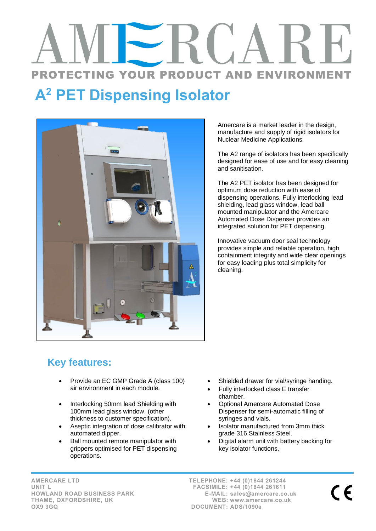## PROTECTING YOUR PRODUCT AND ENVIRONMENT

## A<sup>2</sup> PET Dispensing Isolator



Amercare is a market leader in the design, manufacture and supply of rigid isolators for Nuclear Medicine Applications.

The A2 range of isolators has been specifically designed for ease of use and for easy cleaning and sanitisation.

The A2 PET isolator has been designed for optimum dose reduction with ease of dispensing operations. Fully interlocking lead shielding, lead glass window, lead ball mounted manipulator and the Amercare Automated Dose Dispenser provides an integrated solution for PET dispensing.

Innovative vacuum door seal technology provides simple and reliable operation, high containment integrity and wide clear openings for easy loading plus total simplicity for cleaning.

## **Key features:**

- Provide an EC GMP Grade A (class 100) air environment in each module.
- Interlocking 50mm lead Shielding with 100mm lead glass window. (other thickness to customer specification).
- Aseptic integration of dose calibrator with automated dipper.
- Ball mounted remote manipulator with grippers optimised for PET dispensing operations.
- Shielded drawer for vial/syringe handing.
- Fully interlocked class E transfer chamber.
- Optional Amercare Automated Dose Dispenser for semi-automatic filling of syringes and vials.
- Isolator manufactured from 3mm thick grade 316 Stainless Steel.
- Digital alarm unit with battery backing for key isolator functions.

AMERCARE LTD UNIT L HOWLAND ROAD BUSINESS PARK THAME, OXFORDSHIRE, UK OX9 3GQ

TELEPHONE: +44 (0)1844 261244 FACSIMILE: +44 (0)1844 261611 E-MAIL: sales@amercare.co.uk WEB: www.amercare.co.uk DOCUMENT: ADS/1090a